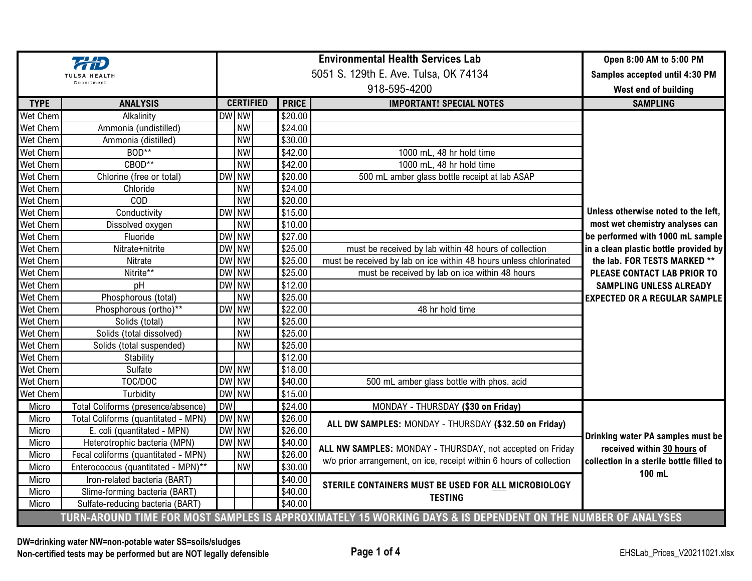|                                                                                                             |                                     |           |                  |                                       | Open 8:00 AM to 5:00 PM                                             |                                          |
|-------------------------------------------------------------------------------------------------------------|-------------------------------------|-----------|------------------|---------------------------------------|---------------------------------------------------------------------|------------------------------------------|
| <b>TULSA HEALTH</b>                                                                                         |                                     |           |                  | 5051 S. 129th E. Ave. Tulsa, OK 74134 | Samples accepted until 4:30 PM                                      |                                          |
| Department                                                                                                  |                                     |           |                  |                                       | West end of building                                                |                                          |
| <b>TYPE</b>                                                                                                 | <b>ANALYSIS</b>                     |           | <b>CERTIFIED</b> | <b>PRICE</b>                          | <b>IMPORTANT! SPECIAL NOTES</b>                                     | <b>SAMPLING</b>                          |
| Wet Chem                                                                                                    | Alkalinity                          |           | DW NW            | \$20.00                               |                                                                     |                                          |
| <b>Wet Chem</b>                                                                                             | Ammonia (undistilled)               |           | <b>NW</b>        | \$24.00                               |                                                                     |                                          |
| Wet Chem                                                                                                    | Ammonia (distilled)                 |           | <b>NW</b>        | \$30.00                               |                                                                     |                                          |
| Wet Chem                                                                                                    | BOD**                               |           | <b>NW</b>        | \$42.00                               | 1000 mL, 48 hr hold time                                            |                                          |
| Wet Chem                                                                                                    | CBOD**                              |           | <b>NW</b>        | \$42.00                               | 1000 mL, 48 hr hold time                                            |                                          |
| Wet Chem                                                                                                    | Chlorine (free or total)            |           | DW NW            | \$20.00                               | 500 mL amber glass bottle receipt at lab ASAP                       |                                          |
| Wet Chem                                                                                                    | Chloride                            |           | <b>NW</b>        | \$24.00                               |                                                                     |                                          |
| Wet Chem                                                                                                    | COD                                 |           | <b>NW</b>        | \$20.00                               |                                                                     |                                          |
| Wet Chem                                                                                                    | Conductivity                        |           | DW NW            | \$15.00                               |                                                                     | Unless otherwise noted to the left.      |
| Wet Chem                                                                                                    | Dissolved oxygen                    |           | <b>NW</b>        | \$10.00                               |                                                                     | most wet chemistry analyses can          |
| <b>Wet Chem</b>                                                                                             | Fluoride                            |           | DW NW            | \$27.00                               |                                                                     | be performed with 1000 mL sample         |
| Wet Chem                                                                                                    | Nitrate+nitrite                     |           | DW NW            | \$25.00                               | must be received by lab within 48 hours of collection               | in a clean plastic bottle provided by    |
| Wet Chem                                                                                                    | Nitrate                             |           | DW NW            | \$25.00                               | must be received by lab on ice within 48 hours unless chlorinated   | the lab. FOR TESTS MARKED **             |
| Wet Chem                                                                                                    | Nitrite**                           |           | DW NW            | \$25.00                               | must be received by lab on ice within 48 hours                      | PLEASE CONTACT LAB PRIOR TO              |
| Wet Chem                                                                                                    | pH                                  |           | DW NW            | \$12.00                               |                                                                     | <b>SAMPLING UNLESS ALREADY</b>           |
| Wet Chem                                                                                                    | Phosphorous (total)                 |           | <b>NW</b>        | \$25.00                               |                                                                     | <b>EXPECTED OR A REGULAR SAMPLE</b>      |
| Wet Chem                                                                                                    | Phosphorous (ortho)**               |           | DW NW            | \$22.00                               | 48 hr hold time                                                     |                                          |
| Wet Chem                                                                                                    | Solids (total)                      |           | <b>NW</b>        | \$25.00                               |                                                                     |                                          |
| Wet Chem                                                                                                    | Solids (total dissolved)            |           | <b>NW</b>        | \$25.00                               |                                                                     |                                          |
| Wet Chem                                                                                                    | Solids (total suspended)            |           | <b>NW</b>        | \$25.00                               |                                                                     |                                          |
| Wet Chem                                                                                                    | Stability                           |           |                  | \$12.00                               |                                                                     |                                          |
| Wet Chem                                                                                                    | Sulfate                             |           | DW NW            | \$18.00                               |                                                                     |                                          |
| Wet Chem                                                                                                    | TOC/DOC                             |           | DW NW            | \$40.00                               | 500 mL amber glass bottle with phos. acid                           |                                          |
| Wet Chem                                                                                                    | Turbidity                           |           | DW NW            | \$15.00                               |                                                                     |                                          |
| Micro                                                                                                       | Total Coliforms (presence/absence)  | <b>DW</b> |                  | \$24.00                               | MONDAY - THURSDAY (\$30 on Friday)                                  |                                          |
| Micro                                                                                                       | Total Coliforms (quantitated - MPN) |           | DW NW            | \$26.00                               |                                                                     |                                          |
| Micro                                                                                                       | E. coli (quantitated - MPN)         |           | DW NW            | \$26.00                               | ALL DW SAMPLES: MONDAY - THURSDAY (\$32.50 on Friday)               |                                          |
| Micro                                                                                                       | Heterotrophic bacteria (MPN)        |           | DW NW            | \$40.00                               |                                                                     | Drinking water PA samples must be        |
| Micro                                                                                                       | Fecal coliforms (quantitated - MPN) |           | <b>NW</b>        | \$26.00                               | ALL NW SAMPLES: MONDAY - THURSDAY, not accepted on Friday           | received within 30 hours of              |
| Micro                                                                                                       | Enterococcus (quantitated - MPN)**  |           | <b>NW</b>        | \$30.00                               | w/o prior arrangement, on ice, receipt within 6 hours of collection | collection in a sterile bottle filled to |
| Micro                                                                                                       | Iron-related bacteria (BART)        |           |                  | \$40.00                               |                                                                     | 100 mL                                   |
| Micro                                                                                                       | Slime-forming bacteria (BART)       |           |                  | \$40.00                               | STERILE CONTAINERS MUST BE USED FOR ALL MICROBIOLOGY                |                                          |
| Micro                                                                                                       | Sulfate-reducing bacteria (BART)    |           |                  | \$40.00                               | <b>TESTING</b>                                                      |                                          |
| TURN-AROUND TIME FOR MOST SAMPLES IS APPROXIMATELY 15 WORKING DAYS & IS DEPENDENT ON THE NUMBER OF ANALYSES |                                     |           |                  |                                       |                                                                     |                                          |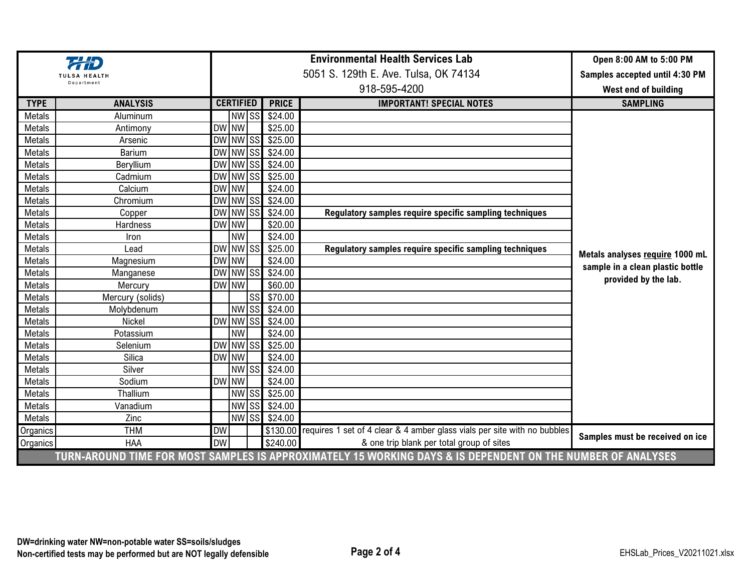|                                                                                                             |                  | <b>Environmental Health Services Lab</b> |                  |           |                     | Open 8:00 AM to 5:00 PM                                                  |                                                                     |
|-------------------------------------------------------------------------------------------------------------|------------------|------------------------------------------|------------------|-----------|---------------------|--------------------------------------------------------------------------|---------------------------------------------------------------------|
| <b>TULSA HEALTH</b>                                                                                         |                  | 5051 S. 129th E. Ave. Tulsa, OK 74134    |                  |           |                     |                                                                          | Samples accepted until 4:30 PM                                      |
| Department                                                                                                  |                  |                                          |                  |           |                     | West end of building                                                     |                                                                     |
| <b>TYPE</b>                                                                                                 | <b>ANALYSIS</b>  |                                          | <b>CERTIFIED</b> |           | <b>PRICE</b>        | <b>IMPORTANT! SPECIAL NOTES</b>                                          | <b>SAMPLING</b>                                                     |
| Metals                                                                                                      | Aluminum         |                                          | NW SS            |           | \$24.00             |                                                                          |                                                                     |
| Metals                                                                                                      | Antimony         |                                          | DW NW            |           | \$25.00             |                                                                          |                                                                     |
| Metals                                                                                                      | Arsenic          |                                          | DW NW SS         |           | \$25.00             |                                                                          |                                                                     |
| Metals                                                                                                      | <b>Barium</b>    |                                          |                  |           | DW NW SS \$24.00    |                                                                          |                                                                     |
| Metals                                                                                                      | Beryllium        |                                          |                  |           | DW NW SS \$24.00    |                                                                          |                                                                     |
| Metals                                                                                                      | Cadmium          |                                          | DW NW SS         |           | \$25.00             |                                                                          |                                                                     |
| Metals                                                                                                      | Calcium          |                                          | DW NW            |           | \$24.00             |                                                                          |                                                                     |
| Metals                                                                                                      | Chromium         |                                          | DW NW SS         |           | \$24.00             |                                                                          |                                                                     |
| Metals                                                                                                      | Copper           |                                          | DW NW SS         |           | \$24.00             | Regulatory samples require specific sampling techniques                  |                                                                     |
| Metals                                                                                                      | Hardness         |                                          | DW NW            |           | \$20.00             |                                                                          |                                                                     |
| Metals                                                                                                      | Iron             |                                          | <b>NW</b>        |           | \$24.00             |                                                                          | Metals analyses require 1000 mL<br>sample in a clean plastic bottle |
| Metals                                                                                                      | Lead             |                                          | DW NW SS         |           | \$25.00             | Regulatory samples require specific sampling techniques                  |                                                                     |
| Metals                                                                                                      | Magnesium        |                                          | DW NW            |           | $\overline{$}24.00$ |                                                                          |                                                                     |
| Metals                                                                                                      | Manganese        |                                          | DW NW SS         |           | \$24.00             |                                                                          |                                                                     |
| Metals                                                                                                      | Mercury          |                                          | DW NW            |           | \$60.00             |                                                                          | provided by the lab.                                                |
| Metals                                                                                                      | Mercury (solids) |                                          |                  | <b>SS</b> | \$70.00             |                                                                          |                                                                     |
| Metals                                                                                                      | Molybdenum       |                                          | NW <sub>SS</sub> |           | \$24.00             |                                                                          |                                                                     |
| Metals                                                                                                      | Nickel           |                                          | DW NW SS         |           | \$24.00             |                                                                          |                                                                     |
| Metals                                                                                                      | Potassium        |                                          | <b>NW</b>        |           | \$24.00             |                                                                          |                                                                     |
| Metals                                                                                                      | Selenium         |                                          | DW NW SS         |           | \$25.00             |                                                                          |                                                                     |
| Metals                                                                                                      | Silica           |                                          | DW NW            |           | \$24.00             |                                                                          |                                                                     |
| Metals                                                                                                      | Silver           |                                          | NW SS            |           | \$24.00             |                                                                          |                                                                     |
| Metals                                                                                                      | Sodium           |                                          | <b>DWINW</b>     |           | \$24.00             |                                                                          |                                                                     |
| Metals                                                                                                      | Thallium         |                                          |                  |           | NW SS \$25.00       |                                                                          |                                                                     |
| Metals                                                                                                      | Vanadium         |                                          | <b>NW</b>        |           | SS \$24.00          |                                                                          |                                                                     |
| Metals                                                                                                      | Zinc             |                                          |                  |           | NW SS \$24.00       |                                                                          |                                                                     |
| Organics                                                                                                    | <b>THM</b>       | <b>DW</b>                                |                  |           | \$130.00            | requires 1 set of 4 clear & 4 amber glass vials per site with no bubbles | Samples must be received on ice                                     |
| Organics                                                                                                    | <b>HAA</b>       | <b>DW</b>                                |                  |           | \$240.00            | & one trip blank per total group of sites                                |                                                                     |
| TURN-AROUND TIME FOR MOST SAMPLES IS APPROXIMATELY 15 WORKING DAYS & IS DEPENDENT ON THE NUMBER OF ANALYSES |                  |                                          |                  |           |                     |                                                                          |                                                                     |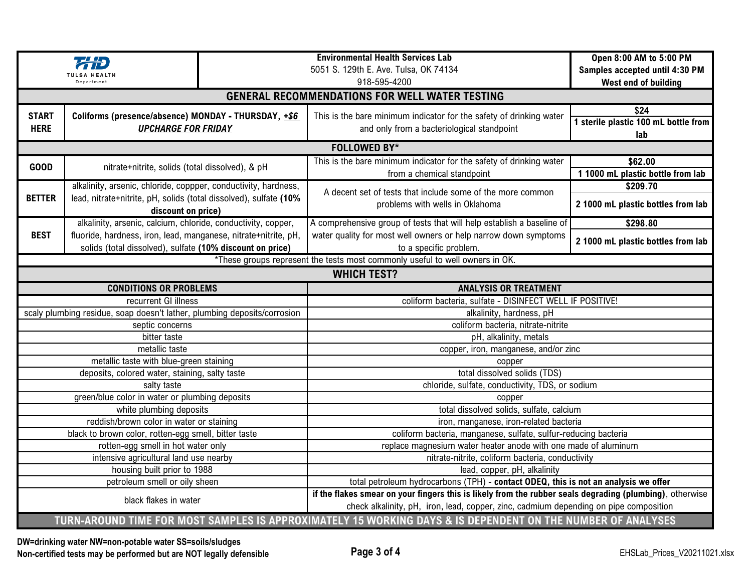|                                                                              |                                                                                                                              |  | <b>Environmental Health Services Lab</b><br>5051 S. 129th E. Ave. Tulsa, OK 74134                                                                                                                 | Open 8:00 AM to 5:00 PM<br>Samples accepted until 4:30 PM |  |  |  |  |  |
|------------------------------------------------------------------------------|------------------------------------------------------------------------------------------------------------------------------|--|---------------------------------------------------------------------------------------------------------------------------------------------------------------------------------------------------|-----------------------------------------------------------|--|--|--|--|--|
|                                                                              | Denartment                                                                                                                   |  | 918-595-4200                                                                                                                                                                                      | West end of building                                      |  |  |  |  |  |
|                                                                              |                                                                                                                              |  | <b>GENERAL RECOMMENDATIONS FOR WELL WATER TESTING</b>                                                                                                                                             |                                                           |  |  |  |  |  |
| <b>START</b><br><b>HERE</b>                                                  | Coliforms (presence/absence) MONDAY - THURSDAY, +\$6<br><b>UPCHARGE FOR FRIDAY</b>                                           |  | This is the bare minimum indicator for the safety of drinking water<br>and only from a bacteriological standpoint                                                                                 | \$24<br>1 sterile plastic 100 mL bottle from<br>lab       |  |  |  |  |  |
| <b>FOLLOWED BY*</b>                                                          |                                                                                                                              |  |                                                                                                                                                                                                   |                                                           |  |  |  |  |  |
| <b>GOOD</b>                                                                  | nitrate+nitrite, solids (total dissolved), & pH                                                                              |  | This is the bare minimum indicator for the safety of drinking water<br>from a chemical standpoint                                                                                                 | \$62.00<br>1 1000 mL plastic bottle from lab              |  |  |  |  |  |
|                                                                              | alkalinity, arsenic, chloride, coppper, conductivity, hardness,                                                              |  | A decent set of tests that include some of the more common<br>problems with wells in Oklahoma                                                                                                     | \$209.70                                                  |  |  |  |  |  |
| <b>BETTER</b>                                                                | lead, nitrate+nitrite, pH, solids (total dissolved), sulfate (10%<br>discount on price)                                      |  |                                                                                                                                                                                                   | 2 1000 mL plastic bottles from lab                        |  |  |  |  |  |
|                                                                              | alkalinity, arsenic, calcium, chloride, conductivity, copper,                                                                |  | A comprehensive group of tests that will help establish a baseline of                                                                                                                             | \$298.80                                                  |  |  |  |  |  |
| <b>BEST</b>                                                                  | fluoride, hardness, iron, lead, manganese, nitrate+nitrite, pH,<br>solids (total dissolved), sulfate (10% discount on price) |  | water quality for most well owners or help narrow down symptoms<br>to a specific problem.                                                                                                         | 2 1000 mL plastic bottles from lab                        |  |  |  |  |  |
| *These groups represent the tests most commonly useful to well owners in OK. |                                                                                                                              |  |                                                                                                                                                                                                   |                                                           |  |  |  |  |  |
| <b>WHICH TEST?</b>                                                           |                                                                                                                              |  |                                                                                                                                                                                                   |                                                           |  |  |  |  |  |
|                                                                              | <b>CONDITIONS OR PROBLEMS</b>                                                                                                |  | <b>ANALYSIS OR TREATMENT</b>                                                                                                                                                                      |                                                           |  |  |  |  |  |
|                                                                              | recurrent GI illness                                                                                                         |  | coliform bacteria, sulfate - DISINFECT WELL IF POSITIVE!                                                                                                                                          |                                                           |  |  |  |  |  |
|                                                                              | scaly plumbing residue, soap doesn't lather, plumbing deposits/corrosion                                                     |  | alkalinity, hardness, pH                                                                                                                                                                          |                                                           |  |  |  |  |  |
|                                                                              | septic concerns                                                                                                              |  | coliform bacteria, nitrate-nitrite                                                                                                                                                                |                                                           |  |  |  |  |  |
|                                                                              | bitter taste                                                                                                                 |  | pH, alkalinity, metals                                                                                                                                                                            |                                                           |  |  |  |  |  |
|                                                                              | metallic taste                                                                                                               |  | copper, iron, manganese, and/or zinc                                                                                                                                                              |                                                           |  |  |  |  |  |
|                                                                              | metallic taste with blue-green staining                                                                                      |  | copper                                                                                                                                                                                            |                                                           |  |  |  |  |  |
|                                                                              | deposits, colored water, staining, salty taste                                                                               |  | total dissolved solids (TDS)                                                                                                                                                                      |                                                           |  |  |  |  |  |
|                                                                              | salty taste                                                                                                                  |  | chloride, sulfate, conductivity, TDS, or sodium                                                                                                                                                   |                                                           |  |  |  |  |  |
|                                                                              | green/blue color in water or plumbing deposits<br>white plumbing deposits                                                    |  | copper<br>total dissolved solids, sulfate, calcium                                                                                                                                                |                                                           |  |  |  |  |  |
|                                                                              | reddish/brown color in water or staining                                                                                     |  | iron, manganese, iron-related bacteria                                                                                                                                                            |                                                           |  |  |  |  |  |
|                                                                              | black to brown color, rotten-egg smell, bitter taste                                                                         |  | coliform bacteria, manganese, sulfate, sulfur-reducing bacteria                                                                                                                                   |                                                           |  |  |  |  |  |
|                                                                              | rotten-egg smell in hot water only                                                                                           |  | replace magnesium water heater anode with one made of aluminum                                                                                                                                    |                                                           |  |  |  |  |  |
|                                                                              | intensive agricultural land use nearby                                                                                       |  | nitrate-nitrite, coliform bacteria, conductivity                                                                                                                                                  |                                                           |  |  |  |  |  |
|                                                                              | housing built prior to 1988                                                                                                  |  | lead, copper, pH, alkalinity                                                                                                                                                                      |                                                           |  |  |  |  |  |
|                                                                              | petroleum smell or oily sheen                                                                                                |  | total petroleum hydrocarbons (TPH) - contact ODEQ, this is not an analysis we offer                                                                                                               |                                                           |  |  |  |  |  |
|                                                                              | black flakes in water                                                                                                        |  | if the flakes smear on your fingers this is likely from the rubber seals degrading (plumbing), otherwise<br>check alkalinity, pH, iron, lead, copper, zinc, cadmium depending on pipe composition |                                                           |  |  |  |  |  |
|                                                                              |                                                                                                                              |  | TURN-AROUND TIME FOR MOST SAMPLES IS APPROXIMATELY 15 WORKING DAYS & IS DEPENDENT ON THE NUMBER OF ANALYSES                                                                                       |                                                           |  |  |  |  |  |